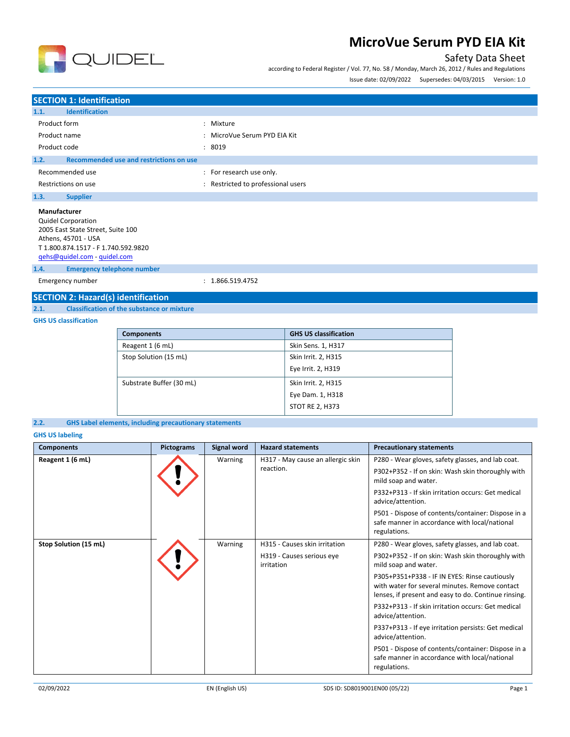

### Safety Data Sheet

according to Federal Register / Vol. 77, No. 58 / Monday, March 26, 2012 / Rules and Regulations

|              |                                         |                              | Issue date: 02/09/2022 Supersedes: 04/03/2015 Version: 1.0 |  |
|--------------|-----------------------------------------|------------------------------|------------------------------------------------------------|--|
|              |                                         |                              |                                                            |  |
|              | <b>SECTION 1: Identification</b>        |                              |                                                            |  |
| 1.1.         | <b>Identification</b>                   |                              |                                                            |  |
| Product form |                                         | : Mixture                    |                                                            |  |
| Product name |                                         | : MicroVue Serum PYD EIA Kit |                                                            |  |
| Product code |                                         | : 8019                       |                                                            |  |
| 1.2.         | Recommended use and restrictions on use |                              |                                                            |  |
|              | Recommended use                         | : For research use only.     |                                                            |  |

### Restrictions on use **SECONG RESTRICTED EXECUTES** : Restricted to professional users **1.3. Supplier**

| <b>Manufacturer</b>                 |
|-------------------------------------|
| <b>Quidel Corporation</b>           |
| 2005 East State Street, Suite 100   |
| Athens. 45701 - USA                 |
| T 1.800.874.1517 - F 1.740.592.9820 |
| gehs@quidel.com - quidel.com        |

#### **1.4. Emergency telephone number**

Emergency number : 1.866.519.4752

# **SECTION 2: Hazard(s) identification**<br>2.1. Classification of the substance or

**2.1. Classification of the substance or mixture**

#### **GHS US classification**

| <b>Components</b>        | <b>GHS US classification</b> |
|--------------------------|------------------------------|
| Reagent 1 (6 mL)         | Skin Sens. 1, H317           |
| Stop Solution (15 mL)    | Skin Irrit. 2, H315          |
|                          | Eye Irrit. 2, H319           |
| Substrate Buffer (30 mL) | Skin Irrit. 2, H315          |
|                          | Eye Dam. 1, H318             |
|                          | <b>STOT RE 2, H373</b>       |

#### **2.2. GHS Label elements, including precautionary statements**

#### **GHS US labeling**

| <b>Components</b>     | <b>Pictograms</b> | <b>Signal word</b> | <b>Hazard statements</b>                | <b>Precautionary statements</b>                                                                                                                         |
|-----------------------|-------------------|--------------------|-----------------------------------------|---------------------------------------------------------------------------------------------------------------------------------------------------------|
| Reagent 1 (6 mL)      |                   | Warning            | H317 - May cause an allergic skin       | P280 - Wear gloves, safety glasses, and lab coat.                                                                                                       |
|                       |                   |                    | reaction.                               | P302+P352 - If on skin: Wash skin thoroughly with<br>mild soap and water.                                                                               |
|                       |                   |                    |                                         | P332+P313 - If skin irritation occurs: Get medical<br>advice/attention.                                                                                 |
|                       |                   |                    |                                         | P501 - Dispose of contents/container: Dispose in a<br>safe manner in accordance with local/national<br>regulations.                                     |
| Stop Solution (15 mL) |                   | Warning            | H315 - Causes skin irritation           | P280 - Wear gloves, safety glasses, and lab coat.                                                                                                       |
|                       |                   |                    | H319 - Causes serious eye<br>irritation | P302+P352 - If on skin: Wash skin thoroughly with<br>mild soap and water.                                                                               |
|                       |                   |                    |                                         | P305+P351+P338 - IF IN EYES: Rinse cautiously<br>with water for several minutes. Remove contact<br>lenses, if present and easy to do. Continue rinsing. |
|                       |                   |                    |                                         | P332+P313 - If skin irritation occurs: Get medical<br>advice/attention.                                                                                 |
|                       |                   |                    |                                         | P337+P313 - If eye irritation persists: Get medical<br>advice/attention.                                                                                |
|                       |                   |                    |                                         | P501 - Dispose of contents/container: Dispose in a<br>safe manner in accordance with local/national<br>regulations.                                     |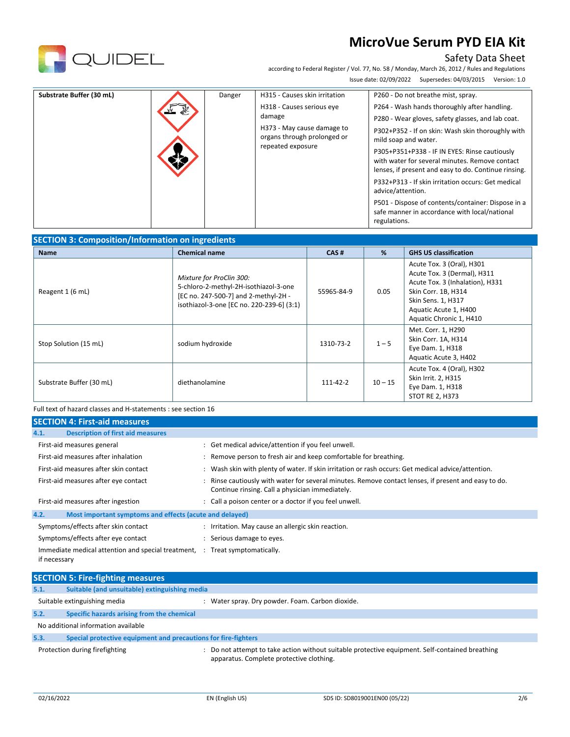

### Safety Data Sheet

according to Federal Register / Vol. 77, No. 58 / Monday, March 26, 2012 / Rules and Regulations Issue date: 02/09/2022 Supersedes: 04/03/2015 Version: 1.0

| Substrate Buffer (30 mL) |  | Danger | H315 - Causes skin irritation<br>H318 - Causes serious eye<br>damage<br>H373 - May cause damage to<br>organs through prolonged or<br>repeated exposure | P260 - Do not breathe mist, spray.<br>P264 - Wash hands thoroughly after handling.<br>P280 - Wear gloves, safety glasses, and lab coat.<br>P302+P352 - If on skin: Wash skin thoroughly with<br>mild soap and water.<br>P305+P351+P338 - IF IN EYES: Rinse cautiously<br>with water for several minutes. Remove contact<br>lenses, if present and easy to do. Continue rinsing.<br>P332+P313 - If skin irritation occurs: Get medical<br>advice/attention.<br>P501 - Dispose of contents/container: Dispose in a<br>safe manner in accordance with local/national<br>regulations. |
|--------------------------|--|--------|--------------------------------------------------------------------------------------------------------------------------------------------------------|-----------------------------------------------------------------------------------------------------------------------------------------------------------------------------------------------------------------------------------------------------------------------------------------------------------------------------------------------------------------------------------------------------------------------------------------------------------------------------------------------------------------------------------------------------------------------------------|
|--------------------------|--|--------|--------------------------------------------------------------------------------------------------------------------------------------------------------|-----------------------------------------------------------------------------------------------------------------------------------------------------------------------------------------------------------------------------------------------------------------------------------------------------------------------------------------------------------------------------------------------------------------------------------------------------------------------------------------------------------------------------------------------------------------------------------|

### **SECTION 3: Composition/Information on ingredients**

| <b>Name</b>              | <b>Chemical name</b>                                                                                                                                   | CAS#       | %         | <b>GHS US classification</b>                                                                                                                                                                 |
|--------------------------|--------------------------------------------------------------------------------------------------------------------------------------------------------|------------|-----------|----------------------------------------------------------------------------------------------------------------------------------------------------------------------------------------------|
| Reagent 1 (6 mL)         | Mixture for ProClin 300:<br>5-chloro-2-methyl-2H-isothiazol-3-one<br>[EC no. 247-500-7] and 2-methyl-2H -<br>isothiazol-3-one [EC no. 220-239-6] (3:1) | 55965-84-9 | 0.05      | Acute Tox. 3 (Oral), H301<br>Acute Tox. 3 (Dermal), H311<br>Acute Tox. 3 (Inhalation), H331<br>Skin Corr. 1B, H314<br>Skin Sens. 1, H317<br>Aquatic Acute 1, H400<br>Aquatic Chronic 1, H410 |
| Stop Solution (15 mL)    | sodium hydroxide                                                                                                                                       | 1310-73-2  | $1 - 5$   | Met. Corr. 1, H290<br>Skin Corr. 1A, H314<br>Eye Dam. 1, H318<br>Aquatic Acute 3, H402                                                                                                       |
| Substrate Buffer (30 mL) | diethanolamine                                                                                                                                         | 111-42-2   | $10 - 15$ | Acute Tox. 4 (Oral), H302<br>Skin Irrit. 2, H315<br>Eye Dam. 1, H318<br>STOT RE 2, H373                                                                                                      |

Full text of hazard classes and H-statements : see section 16

| <b>SECTION 4: First-aid measures</b>                                 |                                                                                                                                                       |
|----------------------------------------------------------------------|-------------------------------------------------------------------------------------------------------------------------------------------------------|
| <b>Description of first aid measures</b><br>4.1.                     |                                                                                                                                                       |
| First-aid measures general                                           | : Get medical advice/attention if you feel unwell.                                                                                                    |
| First-aid measures after inhalation                                  | : Remove person to fresh air and keep comfortable for breathing.                                                                                      |
| First-aid measures after skin contact                                | Wash skin with plenty of water. If skin irritation or rash occurs: Get medical advice/attention.<br>÷                                                 |
| First-aid measures after eye contact                                 | Rinse cautiously with water for several minutes. Remove contact lenses, if present and easy to do.<br>Continue rinsing. Call a physician immediately. |
| First-aid measures after ingestion                                   | : Call a poison center or a doctor if you feel unwell.                                                                                                |
| 4.2.<br>Most important symptoms and effects (acute and delayed)      |                                                                                                                                                       |
| Symptoms/effects after skin contact                                  | : Irritation. May cause an allergic skin reaction.                                                                                                    |
| Symptoms/effects after eye contact                                   | Serious damage to eyes.<br>÷                                                                                                                          |
| Immediate medical attention and special treatment, :<br>if necessary | Treat symptomatically.                                                                                                                                |

|      | <b>SECTION 5: Fire-fighting measures</b>                       |                                                                                                                                           |
|------|----------------------------------------------------------------|-------------------------------------------------------------------------------------------------------------------------------------------|
| 5.1. | Suitable (and unsuitable) extinguishing media                  |                                                                                                                                           |
|      | Suitable extinguishing media                                   | Water spray. Dry powder. Foam. Carbon dioxide.                                                                                            |
| 5.2. | Specific hazards arising from the chemical                     |                                                                                                                                           |
|      | No additional information available                            |                                                                                                                                           |
| 5.3. | Special protective equipment and precautions for fire-fighters |                                                                                                                                           |
|      | Protection during firefighting                                 | Do not attempt to take action without suitable protective equipment. Self-contained breathing<br>apparatus. Complete protective clothing. |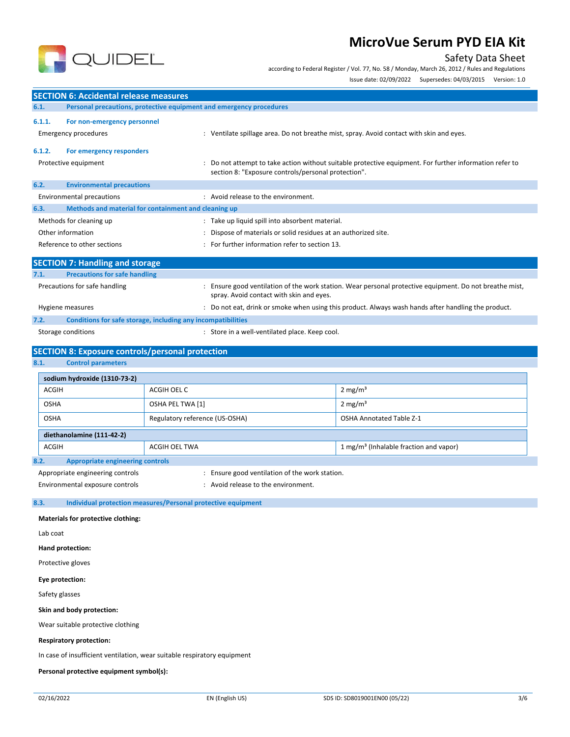

### Safety Data Sheet

according to Federal Register / Vol. 77, No. 58 / Monday, March 26, 2012 / Rules and Regulations

|              |                                                                          |                                |                                                                                                                                                                |                                                    | Issue date: 02/09/2022 Supersedes: 04/03/2015 Version: 1.0 |  |
|--------------|--------------------------------------------------------------------------|--------------------------------|----------------------------------------------------------------------------------------------------------------------------------------------------------------|----------------------------------------------------|------------------------------------------------------------|--|
|              | <b>SECTION 6: Accidental release measures</b>                            |                                |                                                                                                                                                                |                                                    |                                                            |  |
| 6.1.         |                                                                          |                                | Personal precautions, protective equipment and emergency procedures                                                                                            |                                                    |                                                            |  |
| 6.1.1.       | For non-emergency personnel                                              |                                |                                                                                                                                                                |                                                    |                                                            |  |
|              | Emergency procedures                                                     |                                | : Ventilate spillage area. Do not breathe mist, spray. Avoid contact with skin and eyes.                                                                       |                                                    |                                                            |  |
| 6.1.2.       | For emergency responders                                                 |                                |                                                                                                                                                                |                                                    |                                                            |  |
|              | Protective equipment                                                     |                                | : Do not attempt to take action without suitable protective equipment. For further information refer to<br>section 8: "Exposure controls/personal protection". |                                                    |                                                            |  |
| 6.2.         | <b>Environmental precautions</b>                                         |                                |                                                                                                                                                                |                                                    |                                                            |  |
|              | <b>Environmental precautions</b>                                         |                                | : Avoid release to the environment.                                                                                                                            |                                                    |                                                            |  |
| 6.3.         | Methods and material for containment and cleaning up                     |                                |                                                                                                                                                                |                                                    |                                                            |  |
|              | Methods for cleaning up                                                  |                                | : Take up liquid spill into absorbent material.                                                                                                                |                                                    |                                                            |  |
|              | Other information                                                        |                                | Dispose of materials or solid residues at an authorized site.                                                                                                  |                                                    |                                                            |  |
|              | Reference to other sections                                              |                                | For further information refer to section 13.                                                                                                                   |                                                    |                                                            |  |
|              | <b>SECTION 7: Handling and storage</b>                                   |                                |                                                                                                                                                                |                                                    |                                                            |  |
| 7.1.         | <b>Precautions for safe handling</b>                                     |                                |                                                                                                                                                                |                                                    |                                                            |  |
|              | Precautions for safe handling                                            |                                | : Ensure good ventilation of the work station. Wear personal protective equipment. Do not breathe mist,<br>spray. Avoid contact with skin and eyes.            |                                                    |                                                            |  |
|              | Hygiene measures                                                         |                                | : Do not eat, drink or smoke when using this product. Always wash hands after handling the product.                                                            |                                                    |                                                            |  |
| 7.2.         | Conditions for safe storage, including any incompatibilities             |                                |                                                                                                                                                                |                                                    |                                                            |  |
|              | Storage conditions                                                       |                                | : Store in a well-ventilated place. Keep cool.                                                                                                                 |                                                    |                                                            |  |
|              | <b>SECTION 8: Exposure controls/personal protection</b>                  |                                |                                                                                                                                                                |                                                    |                                                            |  |
| 8.1.         | <b>Control parameters</b>                                                |                                |                                                                                                                                                                |                                                    |                                                            |  |
|              | sodium hydroxide (1310-73-2)                                             |                                |                                                                                                                                                                |                                                    |                                                            |  |
| <b>ACGIH</b> |                                                                          | ACGIH OEL C                    |                                                                                                                                                                | 2 mg/m <sup>3</sup>                                |                                                            |  |
| <b>OSHA</b>  |                                                                          | OSHA PEL TWA [1]               |                                                                                                                                                                | 2 mg/m <sup>3</sup>                                |                                                            |  |
| <b>OSHA</b>  |                                                                          | Regulatory reference (US-OSHA) |                                                                                                                                                                | <b>OSHA Annotated Table Z-1</b>                    |                                                            |  |
|              | diethanolamine (111-42-2)                                                |                                |                                                                                                                                                                |                                                    |                                                            |  |
| ACGIH        |                                                                          | ACGIH OEL TWA                  |                                                                                                                                                                | 1 mg/m <sup>3</sup> (Inhalable fraction and vapor) |                                                            |  |
| 8.2.         | <b>Appropriate engineering controls</b>                                  |                                |                                                                                                                                                                |                                                    |                                                            |  |
|              | Appropriate engineering controls                                         |                                | : Ensure good ventilation of the work station.                                                                                                                 |                                                    |                                                            |  |
|              | Environmental exposure controls                                          |                                | : Avoid release to the environment.                                                                                                                            |                                                    |                                                            |  |
| 8.3.         | Individual protection measures/Personal protective equipment             |                                |                                                                                                                                                                |                                                    |                                                            |  |
|              | <b>Materials for protective clothing:</b>                                |                                |                                                                                                                                                                |                                                    |                                                            |  |
| Lab coat     |                                                                          |                                |                                                                                                                                                                |                                                    |                                                            |  |
|              | Hand protection:                                                         |                                |                                                                                                                                                                |                                                    |                                                            |  |
|              | Protective gloves                                                        |                                |                                                                                                                                                                |                                                    |                                                            |  |
|              | Eye protection:                                                          |                                |                                                                                                                                                                |                                                    |                                                            |  |
|              | Safety glasses                                                           |                                |                                                                                                                                                                |                                                    |                                                            |  |
|              | Skin and body protection:                                                |                                |                                                                                                                                                                |                                                    |                                                            |  |
|              | Wear suitable protective clothing                                        |                                |                                                                                                                                                                |                                                    |                                                            |  |
|              | <b>Respiratory protection:</b>                                           |                                |                                                                                                                                                                |                                                    |                                                            |  |
|              | In case of insufficient ventilation, wear suitable respiratory equipment |                                |                                                                                                                                                                |                                                    |                                                            |  |
|              | Personal protective equipment symbol(s):                                 |                                |                                                                                                                                                                |                                                    |                                                            |  |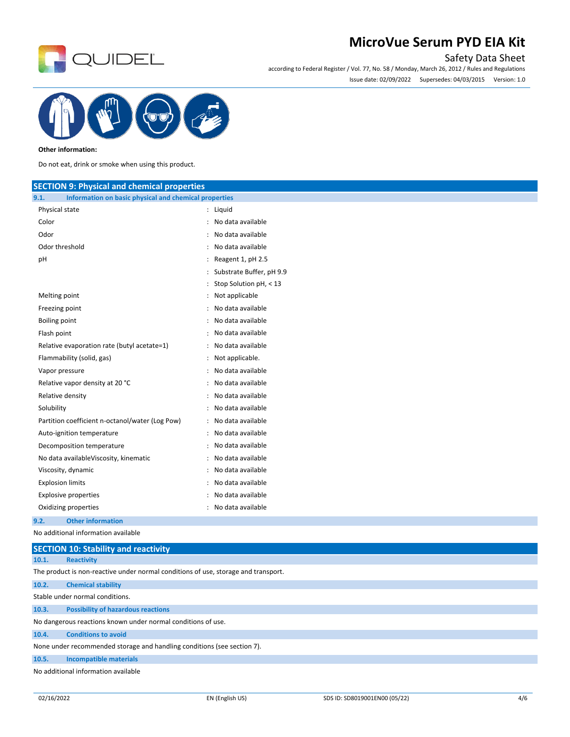

### Safety Data Sheet

according to Federal Register / Vol. 77, No. 58 / Monday, March 26, 2012 / Rules and Regulations Issue date: 02/09/2022 Supersedes: 04/03/2015 Version: 1.0



#### **Other information:**

Do not eat, drink or smoke when using this product.

| <b>SECTION 9: Physical and chemical properties</b>            |                            |
|---------------------------------------------------------------|----------------------------|
| 9.1.<br>Information on basic physical and chemical properties |                            |
| Physical state                                                | : Liquid                   |
| Color                                                         | : No data available        |
| Odor                                                          | : No data available        |
| Odor threshold                                                | No data available          |
| pH                                                            | Reagent 1, pH 2.5          |
|                                                               | : Substrate Buffer, pH 9.9 |
|                                                               | : Stop Solution $pH < 13$  |
| Melting point                                                 | : Not applicable           |
| Freezing point                                                | : No data available        |
| <b>Boiling point</b>                                          | : No data available        |
| Flash point                                                   | : No data available        |
| Relative evaporation rate (butyl acetate=1)                   | : No data available        |
| Flammability (solid, gas)                                     | : Not applicable.          |
| Vapor pressure                                                | : No data available        |
| Relative vapor density at 20 °C                               | : No data available        |
| Relative density                                              | : No data available        |
| Solubility                                                    | : No data available        |
| Partition coefficient n-octanol/water (Log Pow)               | : No data available        |
| Auto-ignition temperature                                     | : No data available        |
| Decomposition temperature                                     | : No data available        |
| No data availableViscosity, kinematic                         | : No data available        |
| Viscosity, dynamic                                            | No data available          |
| <b>Explosion limits</b>                                       | : No data available        |
| <b>Explosive properties</b>                                   | : No data available        |
| Oxidizing properties                                          | : No data available        |
| <b>Other information</b><br>9.2.                              |                            |
| فقاد ومستحكمته المتمرم فقفاء المتحين منابة                    |                            |

No additional information available

|       | <b>SECTION 10: Stability and reactivity</b>                                        |
|-------|------------------------------------------------------------------------------------|
| 10.1. | <b>Reactivity</b>                                                                  |
|       | The product is non-reactive under normal conditions of use, storage and transport. |
| 10.2. | <b>Chemical stability</b>                                                          |
|       | Stable under normal conditions.                                                    |
| 10.3. | <b>Possibility of hazardous reactions</b>                                          |
|       | No dangerous reactions known under normal conditions of use.                       |
| 10.4. | <b>Conditions to avoid</b>                                                         |
|       | None under recommended storage and handling conditions (see section 7).            |
| 10.5. | <b>Incompatible materials</b>                                                      |
|       | No additional information available                                                |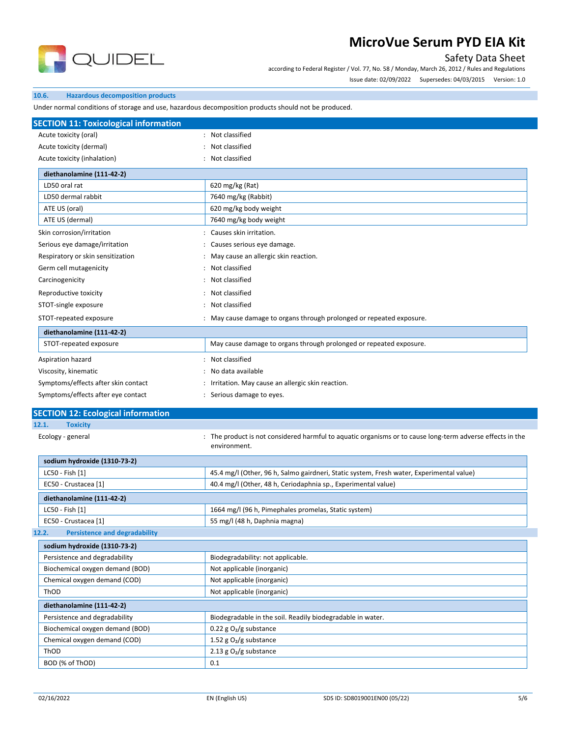

### Safety Data Sheet

according to Federal Register / Vol. 77, No. 58 / Monday, March 26, 2012 / Rules and Regulations

Issue date: 02/09/2022 Supersedes: 04/03/2015 Version: 1.0

#### **10.6. Hazardous decomposition products**

Under normal conditions of storage and use, hazardous decomposition products should not be produced.

| <b>SECTION 11: Toxicological information</b>                        |                                                                                                           |
|---------------------------------------------------------------------|-----------------------------------------------------------------------------------------------------------|
| Acute toxicity (oral)                                               | : Not classified                                                                                          |
| Acute toxicity (dermal)                                             | Not classified                                                                                            |
| Acute toxicity (inhalation)                                         | Not classified                                                                                            |
| diethanolamine (111-42-2)                                           |                                                                                                           |
| LD50 oral rat                                                       | 620 mg/kg (Rat)                                                                                           |
| LD50 dermal rabbit                                                  | 7640 mg/kg (Rabbit)                                                                                       |
| ATE US (oral)                                                       | 620 mg/kg body weight                                                                                     |
| ATE US (dermal)                                                     | 7640 mg/kg body weight                                                                                    |
| Skin corrosion/irritation                                           | : Causes skin irritation.                                                                                 |
| Serious eye damage/irritation                                       | Causes serious eye damage.                                                                                |
| Respiratory or skin sensitization                                   | May cause an allergic skin reaction.                                                                      |
| Germ cell mutagenicity                                              | : Not classified                                                                                          |
| Carcinogenicity                                                     | : Not classified                                                                                          |
|                                                                     | : Not classified                                                                                          |
| Reproductive toxicity                                               | : Not classified                                                                                          |
| STOT-single exposure                                                |                                                                                                           |
| STOT-repeated exposure                                              | : May cause damage to organs through prolonged or repeated exposure.                                      |
| diethanolamine (111-42-2)                                           |                                                                                                           |
| STOT-repeated exposure                                              | May cause damage to organs through prolonged or repeated exposure.                                        |
| Aspiration hazard                                                   | : Not classified                                                                                          |
| Viscosity, kinematic                                                | No data available                                                                                         |
| Symptoms/effects after skin contact                                 | : Irritation. May cause an allergic skin reaction.                                                        |
|                                                                     |                                                                                                           |
| Symptoms/effects after eye contact                                  | Serious damage to eyes.                                                                                   |
|                                                                     |                                                                                                           |
|                                                                     |                                                                                                           |
| <b>Toxicity</b><br>Ecology - general                                | environment.                                                                                              |
| sodium hydroxide (1310-73-2)                                        | : The product is not considered harmful to aquatic organisms or to cause long-term adverse effects in the |
| LC50 - Fish [1]                                                     | 45.4 mg/l (Other, 96 h, Salmo gairdneri, Static system, Fresh water, Experimental value)                  |
| EC50 - Crustacea [1]                                                | 40.4 mg/l (Other, 48 h, Ceriodaphnia sp., Experimental value)                                             |
| diethanolamine (111-42-2)                                           |                                                                                                           |
| LC50 - Fish [1]                                                     | 1664 mg/l (96 h, Pimephales promelas, Static system)                                                      |
| EC50 - Crustacea [1]                                                | 55 mg/l (48 h, Daphnia magna)                                                                             |
| <b>Persistence and degradability</b>                                |                                                                                                           |
| sodium hydroxide (1310-73-2)                                        |                                                                                                           |
| Persistence and degradability                                       | Biodegradability: not applicable.                                                                         |
| Biochemical oxygen demand (BOD)                                     | Not applicable (inorganic)                                                                                |
| Chemical oxygen demand (COD)                                        | Not applicable (inorganic)                                                                                |
| ThOD                                                                | Not applicable (inorganic)                                                                                |
|                                                                     |                                                                                                           |
| diethanolamine (111-42-2)<br>Persistence and degradability          | Biodegradable in the soil. Readily biodegradable in water.                                                |
| Biochemical oxygen demand (BOD)                                     | 0.22 g $O_2/g$ substance                                                                                  |
| Chemical oxygen demand (COD)                                        |                                                                                                           |
| <b>SECTION 12: Ecological information</b><br>12.1.<br>12.2.<br>ThOD | 1.52 g $O_2/g$ substance<br>2.13 g $O2/g$ substance                                                       |